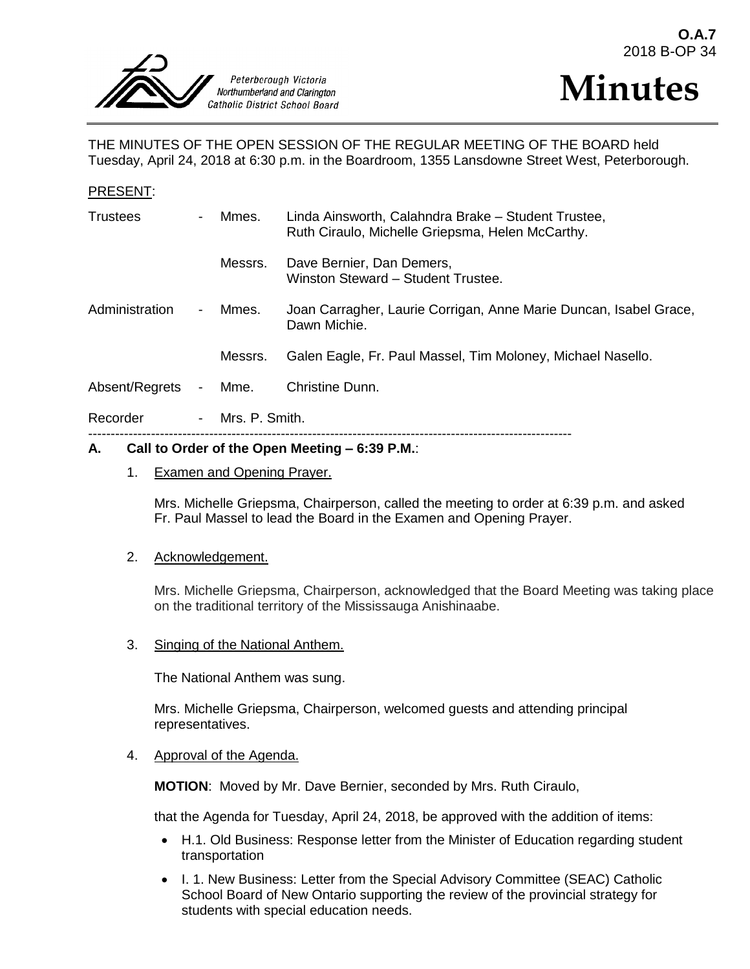



THE MINUTES OF THE OPEN SESSION OF THE REGULAR MEETING OF THE BOARD held Tuesday, April 24, 2018 at 6:30 p.m. in the Boardroom, 1355 Lansdowne Street West, Peterborough.

### PRESENT:

| $\sim$ | Mmes.            | Linda Ainsworth, Calahndra Brake - Student Trustee,<br>Ruth Ciraulo, Michelle Griepsma, Helen McCarthy. |
|--------|------------------|---------------------------------------------------------------------------------------------------------|
|        | Messrs.          | Dave Bernier, Dan Demers,<br>Winston Steward - Student Trustee.                                         |
| $\sim$ | Mmes.            | Joan Carragher, Laurie Corrigan, Anne Marie Duncan, Isabel Grace,<br>Dawn Michie.                       |
|        | Messrs.          | Galen Eagle, Fr. Paul Massel, Tim Moloney, Michael Nasello.                                             |
| $\sim$ |                  | Christine Dunn.                                                                                         |
|        | - Mrs. P. Smith. |                                                                                                         |
|        |                  | Mme.                                                                                                    |

### **A. Call to Order of the Open Meeting – 6:39 P.M.**:

### 1. Examen and Opening Prayer.

Mrs. Michelle Griepsma, Chairperson, called the meeting to order at 6:39 p.m. and asked Fr. Paul Massel to lead the Board in the Examen and Opening Prayer.

#### 2. Acknowledgement.

Mrs. Michelle Griepsma, Chairperson, acknowledged that the Board Meeting was taking place on the traditional territory of the Mississauga Anishinaabe.

3. Singing of the National Anthem.

The National Anthem was sung.

Mrs. Michelle Griepsma, Chairperson, welcomed guests and attending principal representatives.

#### 4. Approval of the Agenda.

**MOTION**: Moved by Mr. Dave Bernier, seconded by Mrs. Ruth Ciraulo,

that the Agenda for Tuesday, April 24, 2018, be approved with the addition of items:

- H.1. Old Business: Response letter from the Minister of Education regarding student transportation
- I. 1. New Business: Letter from the Special Advisory Committee (SEAC) Catholic School Board of New Ontario supporting the review of the provincial strategy for students with special education needs.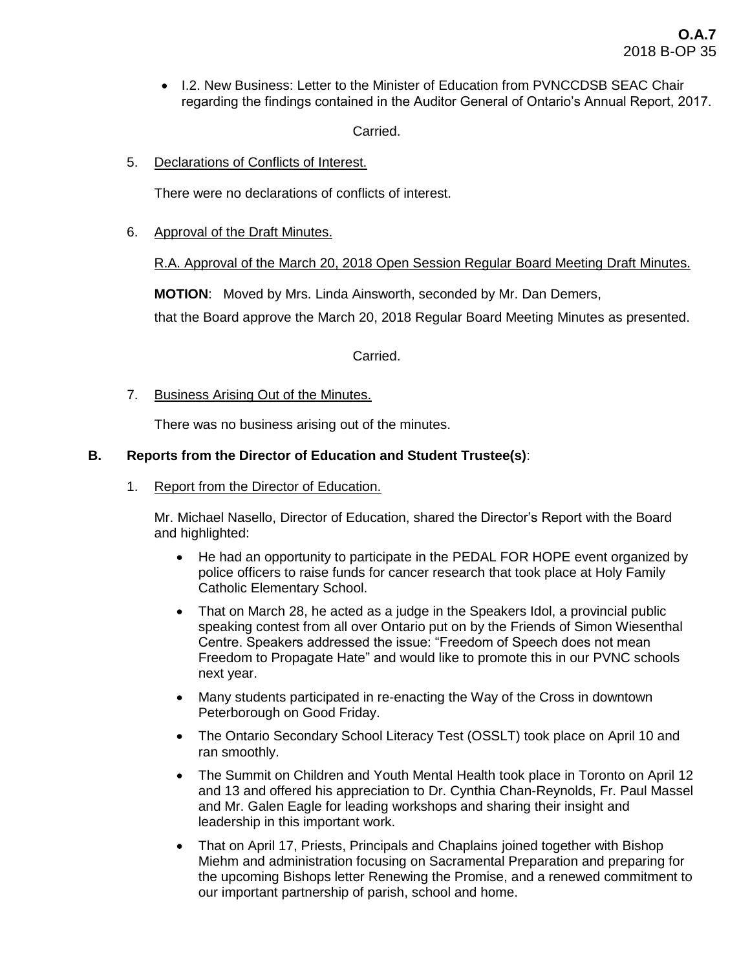• I.2. New Business: Letter to the Minister of Education from PVNCCDSB SEAC Chair regarding the findings contained in the Auditor General of Ontario's Annual Report, 2017.

Carried.

5. Declarations of Conflicts of Interest.

There were no declarations of conflicts of interest.

6. Approval of the Draft Minutes.

R.A. Approval of the March 20, 2018 Open Session Regular Board Meeting Draft Minutes.

**MOTION**: Moved by Mrs. Linda Ainsworth, seconded by Mr. Dan Demers,

that the Board approve the March 20, 2018 Regular Board Meeting Minutes as presented.

Carried.

7. Business Arising Out of the Minutes.

There was no business arising out of the minutes.

# **B. Reports from the Director of Education and Student Trustee(s)**:

1. Report from the Director of Education.

Mr. Michael Nasello, Director of Education, shared the Director's Report with the Board and highlighted:

- He had an opportunity to participate in the PEDAL FOR HOPE event organized by police officers to raise funds for cancer research that took place at Holy Family Catholic Elementary School.
- That on March 28, he acted as a judge in the Speakers Idol, a provincial public speaking contest from all over Ontario put on by the Friends of Simon Wiesenthal Centre. Speakers addressed the issue: "Freedom of Speech does not mean Freedom to Propagate Hate" and would like to promote this in our PVNC schools next year.
- Many students participated in re-enacting the Way of the Cross in downtown Peterborough on Good Friday.
- The Ontario Secondary School Literacy Test (OSSLT) took place on April 10 and ran smoothly.
- The Summit on Children and Youth Mental Health took place in Toronto on April 12 and 13 and offered his appreciation to Dr. Cynthia Chan-Reynolds, Fr. Paul Massel and Mr. Galen Eagle for leading workshops and sharing their insight and leadership in this important work.
- That on April 17, Priests, Principals and Chaplains joined together with Bishop Miehm and administration focusing on Sacramental Preparation and preparing for the upcoming Bishops letter Renewing the Promise, and a renewed commitment to our important partnership of parish, school and home.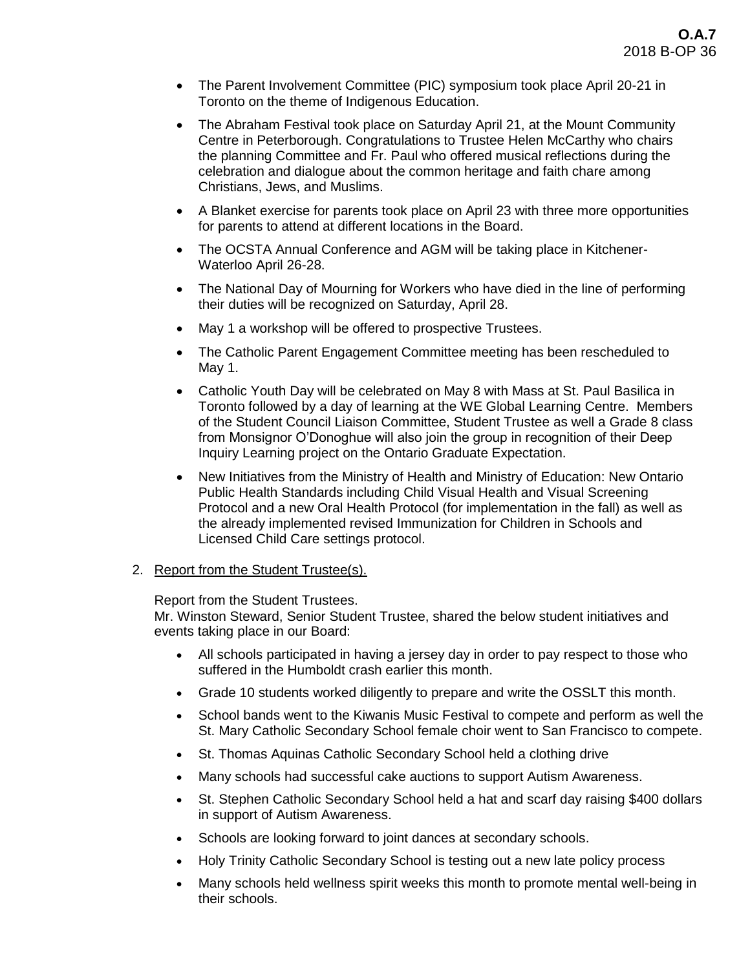- The Parent Involvement Committee (PIC) symposium took place April 20-21 in Toronto on the theme of Indigenous Education.
- The Abraham Festival took place on Saturday April 21, at the Mount Community Centre in Peterborough. Congratulations to Trustee Helen McCarthy who chairs the planning Committee and Fr. Paul who offered musical reflections during the celebration and dialogue about the common heritage and faith chare among Christians, Jews, and Muslims.
- A Blanket exercise for parents took place on April 23 with three more opportunities for parents to attend at different locations in the Board.
- The OCSTA Annual Conference and AGM will be taking place in Kitchener-Waterloo April 26-28.
- The National Day of Mourning for Workers who have died in the line of performing their duties will be recognized on Saturday, April 28.
- May 1 a workshop will be offered to prospective Trustees.
- The Catholic Parent Engagement Committee meeting has been rescheduled to May 1.
- Catholic Youth Day will be celebrated on May 8 with Mass at St. Paul Basilica in Toronto followed by a day of learning at the WE Global Learning Centre. Members of the Student Council Liaison Committee, Student Trustee as well a Grade 8 class from Monsignor O'Donoghue will also join the group in recognition of their Deep Inquiry Learning project on the Ontario Graduate Expectation.
- New Initiatives from the Ministry of Health and Ministry of Education: New Ontario Public Health Standards including Child Visual Health and Visual Screening Protocol and a new Oral Health Protocol (for implementation in the fall) as well as the already implemented revised Immunization for Children in Schools and Licensed Child Care settings protocol.
- 2. Report from the Student Trustee(s).

Report from the Student Trustees.

Mr. Winston Steward, Senior Student Trustee, shared the below student initiatives and events taking place in our Board:

- All schools participated in having a jersey day in order to pay respect to those who suffered in the Humboldt crash earlier this month.
- Grade 10 students worked diligently to prepare and write the OSSLT this month.
- School bands went to the Kiwanis Music Festival to compete and perform as well the St. Mary Catholic Secondary School female choir went to San Francisco to compete.
- St. Thomas Aquinas Catholic Secondary School held a clothing drive
- Many schools had successful cake auctions to support Autism Awareness.
- St. Stephen Catholic Secondary School held a hat and scarf day raising \$400 dollars in support of Autism Awareness.
- Schools are looking forward to joint dances at secondary schools.
- Holy Trinity Catholic Secondary School is testing out a new late policy process
- Many schools held wellness spirit weeks this month to promote mental well-being in their schools.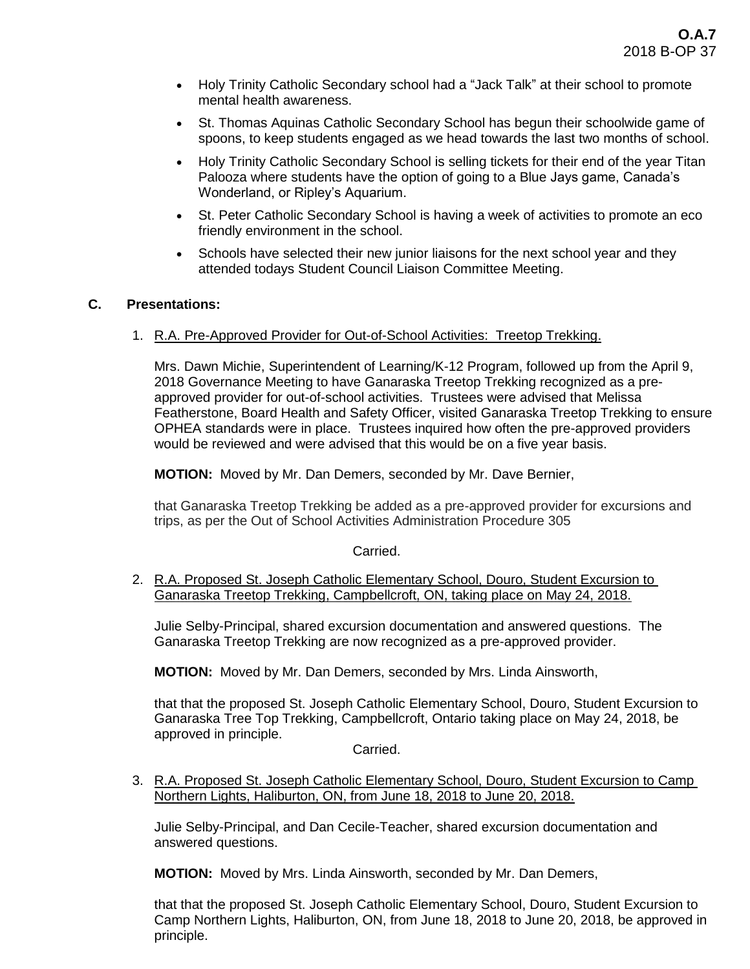- Holy Trinity Catholic Secondary school had a "Jack Talk" at their school to promote mental health awareness.
- St. Thomas Aquinas Catholic Secondary School has begun their schoolwide game of spoons, to keep students engaged as we head towards the last two months of school.
- Holy Trinity Catholic Secondary School is selling tickets for their end of the year Titan Palooza where students have the option of going to a Blue Jays game, Canada's Wonderland, or Ripley's Aquarium.
- St. Peter Catholic Secondary School is having a week of activities to promote an eco friendly environment in the school.
- Schools have selected their new junior liaisons for the next school year and they attended todays Student Council Liaison Committee Meeting.

# **C. Presentations:**

1. R.A. Pre-Approved Provider for Out-of-School Activities: Treetop Trekking.

Mrs. Dawn Michie, Superintendent of Learning/K-12 Program, followed up from the April 9, 2018 Governance Meeting to have Ganaraska Treetop Trekking recognized as a preapproved provider for out-of-school activities. Trustees were advised that Melissa Featherstone, Board Health and Safety Officer, visited Ganaraska Treetop Trekking to ensure OPHEA standards were in place. Trustees inquired how often the pre-approved providers would be reviewed and were advised that this would be on a five year basis.

**MOTION:** Moved by Mr. Dan Demers, seconded by Mr. Dave Bernier,

that Ganaraska Treetop Trekking be added as a pre-approved provider for excursions and trips, as per the Out of School Activities Administration Procedure 305

Carried.

2. R.A. Proposed St. Joseph Catholic Elementary School, Douro, Student Excursion to Ganaraska Treetop Trekking, Campbellcroft, ON, taking place on May 24, 2018.

Julie Selby-Principal, shared excursion documentation and answered questions. The Ganaraska Treetop Trekking are now recognized as a pre-approved provider.

**MOTION:** Moved by Mr. Dan Demers, seconded by Mrs. Linda Ainsworth,

that that the proposed St. Joseph Catholic Elementary School, Douro, Student Excursion to Ganaraska Tree Top Trekking, Campbellcroft, Ontario taking place on May 24, 2018, be approved in principle.

Carried.

3. R.A. Proposed St. Joseph Catholic Elementary School, Douro, Student Excursion to Camp Northern Lights, Haliburton, ON, from June 18, 2018 to June 20, 2018.

Julie Selby-Principal, and Dan Cecile-Teacher, shared excursion documentation and answered questions.

**MOTION:** Moved by Mrs. Linda Ainsworth, seconded by Mr. Dan Demers,

that that the proposed St. Joseph Catholic Elementary School, Douro, Student Excursion to Camp Northern Lights, Haliburton, ON, from June 18, 2018 to June 20, 2018, be approved in principle.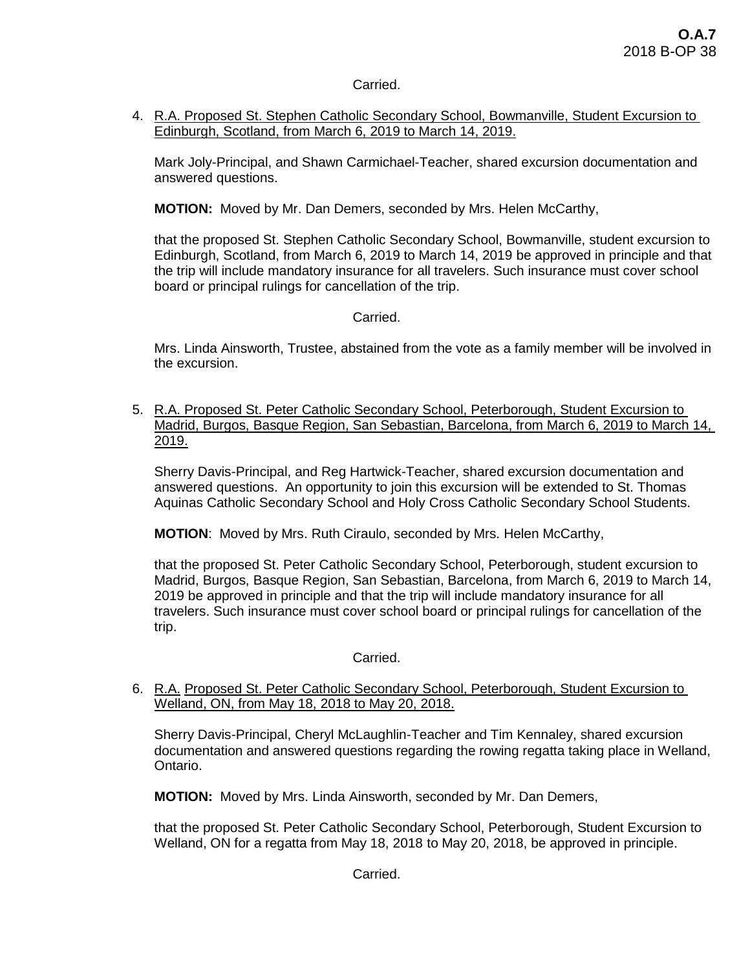# Carried.

4. R.A. Proposed St. Stephen Catholic Secondary School, Bowmanville, Student Excursion to Edinburgh, Scotland, from March 6, 2019 to March 14, 2019.

Mark Joly-Principal, and Shawn Carmichael-Teacher, shared excursion documentation and answered questions.

**MOTION:** Moved by Mr. Dan Demers, seconded by Mrs. Helen McCarthy,

that the proposed St. Stephen Catholic Secondary School, Bowmanville, student excursion to Edinburgh, Scotland, from March 6, 2019 to March 14, 2019 be approved in principle and that the trip will include mandatory insurance for all travelers. Such insurance must cover school board or principal rulings for cancellation of the trip.

# Carried.

Mrs. Linda Ainsworth, Trustee, abstained from the vote as a family member will be involved in the excursion.

5. R.A. Proposed St. Peter Catholic Secondary School, Peterborough, Student Excursion to Madrid, Burgos, Basque Region, San Sebastian, Barcelona, from March 6, 2019 to March 14, 2019.

Sherry Davis-Principal, and Reg Hartwick-Teacher, shared excursion documentation and answered questions. An opportunity to join this excursion will be extended to St. Thomas Aquinas Catholic Secondary School and Holy Cross Catholic Secondary School Students.

**MOTION**: Moved by Mrs. Ruth Ciraulo, seconded by Mrs. Helen McCarthy,

that the proposed St. Peter Catholic Secondary School, Peterborough, student excursion to Madrid, Burgos, Basque Region, San Sebastian, Barcelona, from March 6, 2019 to March 14, 2019 be approved in principle and that the trip will include mandatory insurance for all travelers. Such insurance must cover school board or principal rulings for cancellation of the trip.

# Carried.

6. R.A. Proposed St. Peter Catholic Secondary School, Peterborough, Student Excursion to Welland, ON, from May 18, 2018 to May 20, 2018.

Sherry Davis-Principal, Cheryl McLaughlin-Teacher and Tim Kennaley, shared excursion documentation and answered questions regarding the rowing regatta taking place in Welland, Ontario.

**MOTION:** Moved by Mrs. Linda Ainsworth, seconded by Mr. Dan Demers,

that the proposed St. Peter Catholic Secondary School, Peterborough, Student Excursion to Welland, ON for a regatta from May 18, 2018 to May 20, 2018, be approved in principle.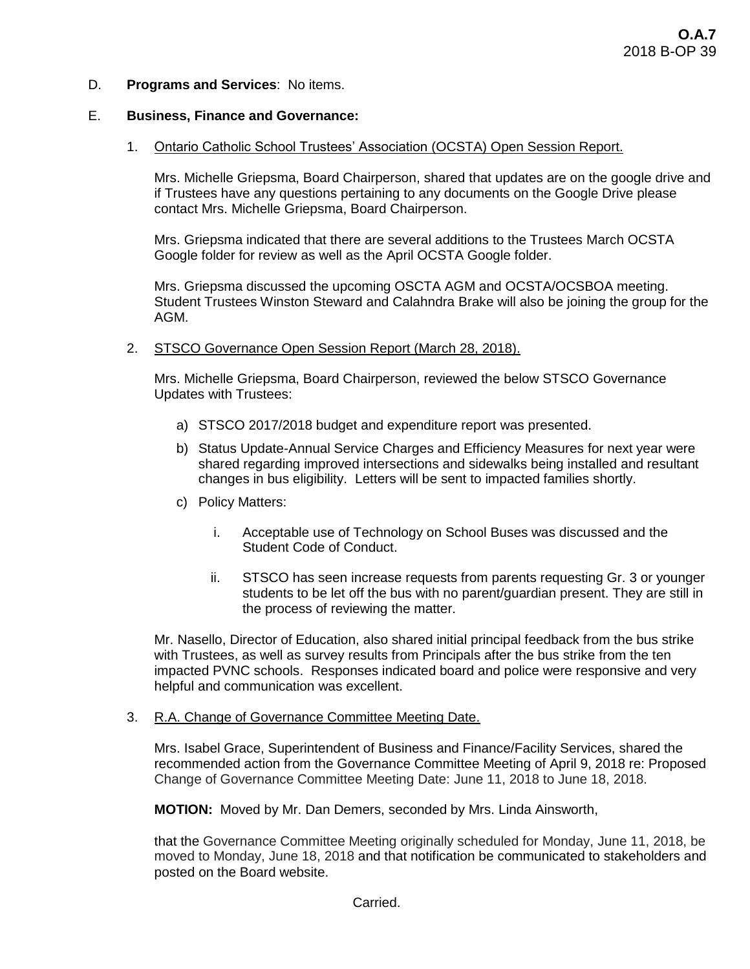D. **Programs and Services**: No items.

### E. **Business, Finance and Governance:**

1. Ontario Catholic School Trustees' Association (OCSTA) Open Session Report.

Mrs. Michelle Griepsma, Board Chairperson, shared that updates are on the google drive and if Trustees have any questions pertaining to any documents on the Google Drive please contact Mrs. Michelle Griepsma, Board Chairperson.

Mrs. Griepsma indicated that there are several additions to the Trustees March OCSTA Google folder for review as well as the April OCSTA Google folder.

Mrs. Griepsma discussed the upcoming OSCTA AGM and OCSTA/OCSBOA meeting. Student Trustees Winston Steward and Calahndra Brake will also be joining the group for the AGM.

2. STSCO Governance Open Session Report (March 28, 2018).

Mrs. Michelle Griepsma, Board Chairperson, reviewed the below STSCO Governance Updates with Trustees:

- a) STSCO 2017/2018 budget and expenditure report was presented.
- b) Status Update-Annual Service Charges and Efficiency Measures for next year were shared regarding improved intersections and sidewalks being installed and resultant changes in bus eligibility. Letters will be sent to impacted families shortly.
- c) Policy Matters:
	- i. Acceptable use of Technology on School Buses was discussed and the Student Code of Conduct.
	- ii. STSCO has seen increase requests from parents requesting Gr. 3 or younger students to be let off the bus with no parent/guardian present. They are still in the process of reviewing the matter.

Mr. Nasello, Director of Education, also shared initial principal feedback from the bus strike with Trustees, as well as survey results from Principals after the bus strike from the ten impacted PVNC schools. Responses indicated board and police were responsive and very helpful and communication was excellent.

# 3. R.A. Change of Governance Committee Meeting Date.

Mrs. Isabel Grace, Superintendent of Business and Finance/Facility Services, shared the recommended action from the Governance Committee Meeting of April 9, 2018 re: Proposed Change of Governance Committee Meeting Date: June 11, 2018 to June 18, 2018.

**MOTION:** Moved by Mr. Dan Demers, seconded by Mrs. Linda Ainsworth,

that the Governance Committee Meeting originally scheduled for Monday, June 11, 2018, be moved to Monday, June 18, 2018 and that notification be communicated to stakeholders and posted on the Board website.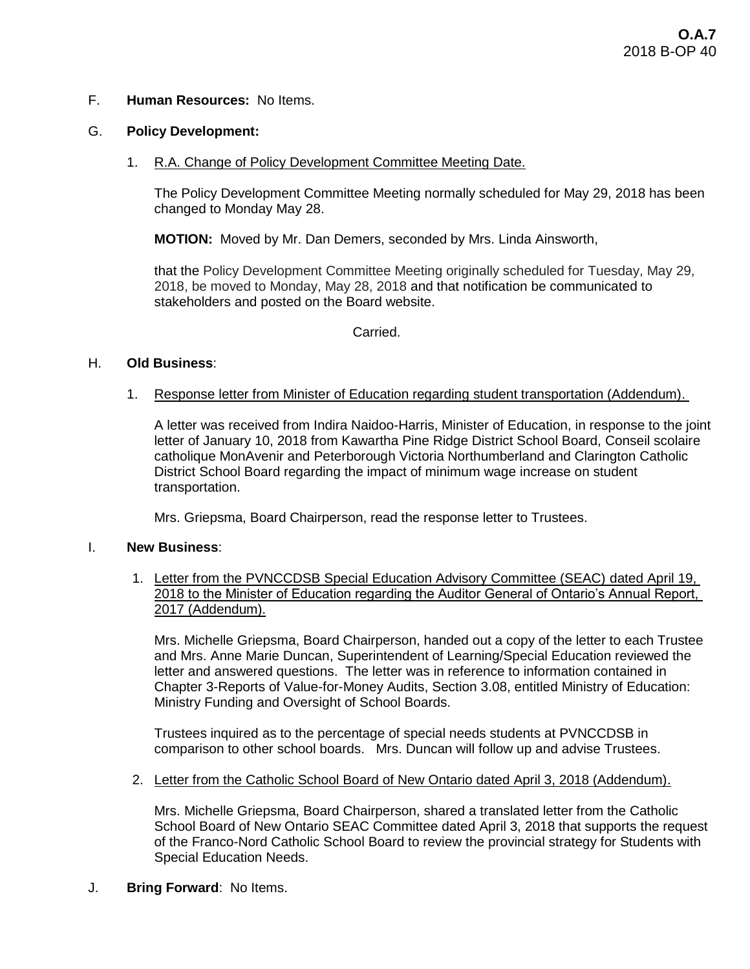### F. **Human Resources:** No Items.

#### G. **Policy Development:**

1. R.A. Change of Policy Development Committee Meeting Date.

The Policy Development Committee Meeting normally scheduled for May 29, 2018 has been changed to Monday May 28.

**MOTION:** Moved by Mr. Dan Demers, seconded by Mrs. Linda Ainsworth,

that the Policy Development Committee Meeting originally scheduled for Tuesday, May 29, 2018, be moved to Monday, May 28, 2018 and that notification be communicated to stakeholders and posted on the Board website.

Carried.

### H. **Old Business**:

1. Response letter from Minister of Education regarding student transportation (Addendum).

A letter was received from Indira Naidoo-Harris, Minister of Education, in response to the joint letter of January 10, 2018 from Kawartha Pine Ridge District School Board, Conseil scolaire catholique MonAvenir and Peterborough Victoria Northumberland and Clarington Catholic District School Board regarding the impact of minimum wage increase on student transportation.

Mrs. Griepsma, Board Chairperson, read the response letter to Trustees.

#### I. **New Business**:

1. Letter from the PVNCCDSB Special Education Advisory Committee (SEAC) dated April 19, 2018 to the Minister of Education regarding the Auditor General of Ontario's Annual Report, 2017 (Addendum).

Mrs. Michelle Griepsma, Board Chairperson, handed out a copy of the letter to each Trustee and Mrs. Anne Marie Duncan, Superintendent of Learning/Special Education reviewed the letter and answered questions. The letter was in reference to information contained in Chapter 3-Reports of Value-for-Money Audits, Section 3.08, entitled Ministry of Education: Ministry Funding and Oversight of School Boards.

Trustees inquired as to the percentage of special needs students at PVNCCDSB in comparison to other school boards. Mrs. Duncan will follow up and advise Trustees.

2. Letter from the Catholic School Board of New Ontario dated April 3, 2018 (Addendum).

Mrs. Michelle Griepsma, Board Chairperson, shared a translated letter from the Catholic School Board of New Ontario SEAC Committee dated April 3, 2018 that supports the request of the Franco-Nord Catholic School Board to review the provincial strategy for Students with Special Education Needs.

J. **Bring Forward**: No Items.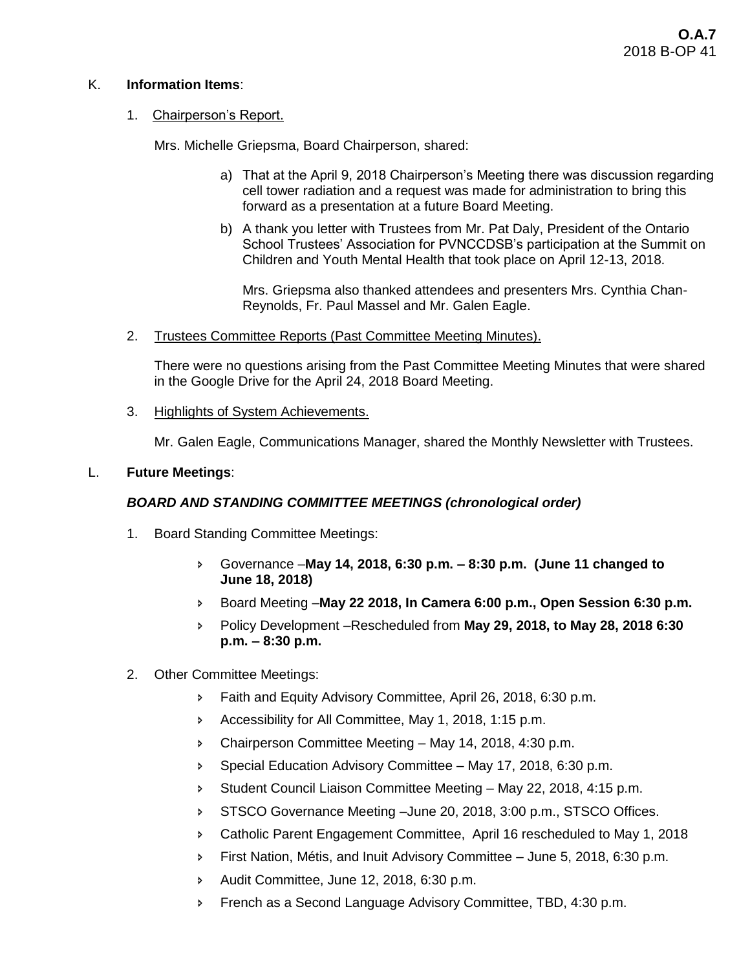# K. **Information Items**:

# 1. Chairperson's Report.

Mrs. Michelle Griepsma, Board Chairperson, shared:

- a) That at the April 9, 2018 Chairperson's Meeting there was discussion regarding cell tower radiation and a request was made for administration to bring this forward as a presentation at a future Board Meeting.
- b) A thank you letter with Trustees from Mr. Pat Daly, President of the Ontario School Trustees' Association for PVNCCDSB's participation at the Summit on Children and Youth Mental Health that took place on April 12-13, 2018.

Mrs. Griepsma also thanked attendees and presenters Mrs. Cynthia Chan-Reynolds, Fr. Paul Massel and Mr. Galen Eagle.

2. Trustees Committee Reports (Past Committee Meeting Minutes).

There were no questions arising from the Past Committee Meeting Minutes that were shared in the Google Drive for the April 24, 2018 Board Meeting.

3. Highlights of System Achievements.

Mr. Galen Eagle, Communications Manager, shared the Monthly Newsletter with Trustees.

# L. **Future Meetings**:

# *BOARD AND STANDING COMMITTEE MEETINGS (chronological order)*

- 1. Board Standing Committee Meetings:
	- Governance –**May 14, 2018, 6:30 p.m. – 8:30 p.m. (June 11 changed to June 18, 2018)**
	- Board Meeting –**May 22 2018, In Camera 6:00 p.m., Open Session 6:30 p.m.**
	- Policy Development –Rescheduled from **May 29, 2018, to May 28, 2018 6:30 p.m. – 8:30 p.m.**
- 2. Other Committee Meetings:
	- Faith and Equity Advisory Committee, April 26, 2018, 6:30 p.m.
	- Accessibility for All Committee, May 1, 2018, 1:15 p.m.
	- Chairperson Committee Meeting May 14, 2018, 4:30 p.m.
	- **Special Education Advisory Committee May 17, 2018, 6:30 p.m.**
	- Student Council Liaison Committee Meeting May 22, 2018, 4:15 p.m.
	- STSCO Governance Meeting –June 20, 2018, 3:00 p.m., STSCO Offices.
	- Catholic Parent Engagement Committee, April 16 rescheduled to May 1, 2018
	- First Nation, Métis, and Inuit Advisory Committee June 5, 2018, 6:30 p.m.
	- Audit Committee, June 12, 2018, 6:30 p.m.
	- **French as a Second Language Advisory Committee, TBD, 4:30 p.m.**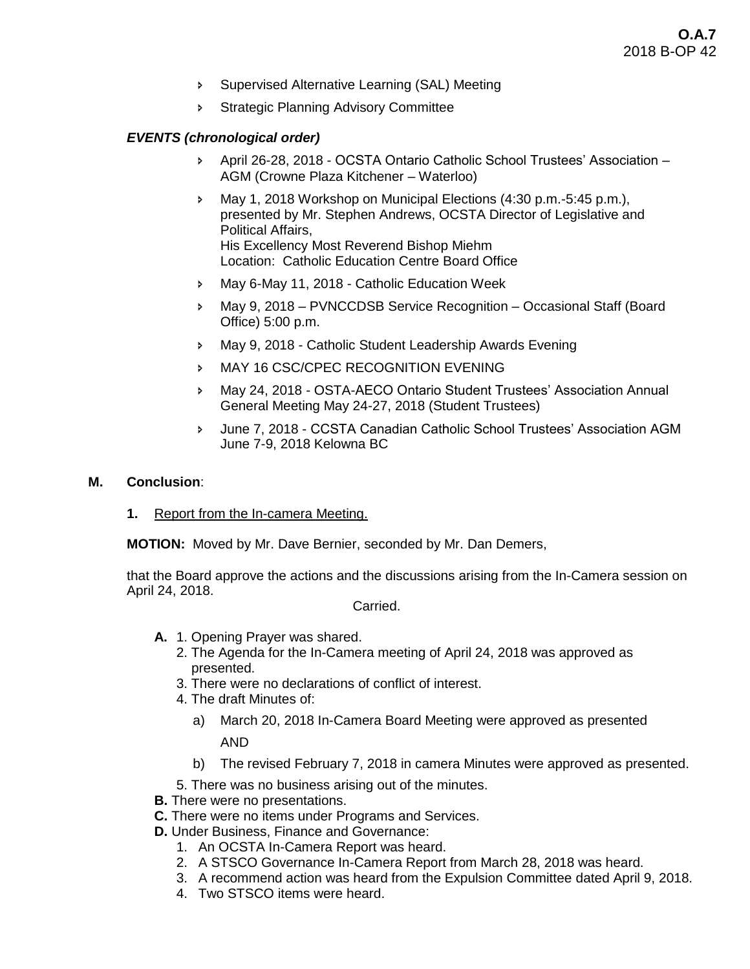- Supervised Alternative Learning (SAL) Meeting
- **Strategic Planning Advisory Committee**

# *EVENTS (chronological order)*

- April 26-28, 2018 OCSTA Ontario Catholic School Trustees' Association AGM (Crowne Plaza Kitchener – Waterloo)
- May 1, 2018 Workshop on Municipal Elections (4:30 p.m.-5:45 p.m.), presented by Mr. Stephen Andrews, OCSTA Director of Legislative and Political Affairs, His Excellency Most Reverend Bishop Miehm Location: Catholic Education Centre Board Office
- May 6-May 11, 2018 Catholic Education Week
- May 9, 2018 PVNCCDSB Service Recognition Occasional Staff (Board Office) 5:00 p.m.
- May 9, 2018 Catholic Student Leadership Awards Evening
- **MAY 16 CSC/CPEC RECOGNITION EVENING**
- May 24, 2018 OSTA-AECO Ontario Student Trustees' Association Annual General Meeting May 24-27, 2018 (Student Trustees)
- June 7, 2018 CCSTA Canadian Catholic School Trustees' Association AGM June 7-9, 2018 Kelowna BC

#### **M. Conclusion**:

**1.** Report from the In-camera Meeting.

**MOTION:** Moved by Mr. Dave Bernier, seconded by Mr. Dan Demers,

that the Board approve the actions and the discussions arising from the In-Camera session on April 24, 2018.

Carried.

- **A.** 1. Opening Prayer was shared.
	- 2. The Agenda for the In-Camera meeting of April 24, 2018 was approved as presented.
	- 3. There were no declarations of conflict of interest.
	- 4. The draft Minutes of:
		- a) March 20, 2018 In-Camera Board Meeting were approved as presented AND
		- b) The revised February 7, 2018 in camera Minutes were approved as presented.
	- 5. There was no business arising out of the minutes.
- **B.** There were no presentations.
- **C.** There were no items under Programs and Services.
- **D.** Under Business, Finance and Governance:
	- 1. An OCSTA In-Camera Report was heard.
	- 2. A STSCO Governance In-Camera Report from March 28, 2018 was heard.
	- 3. A recommend action was heard from the Expulsion Committee dated April 9, 2018.
	- 4. Two STSCO items were heard.